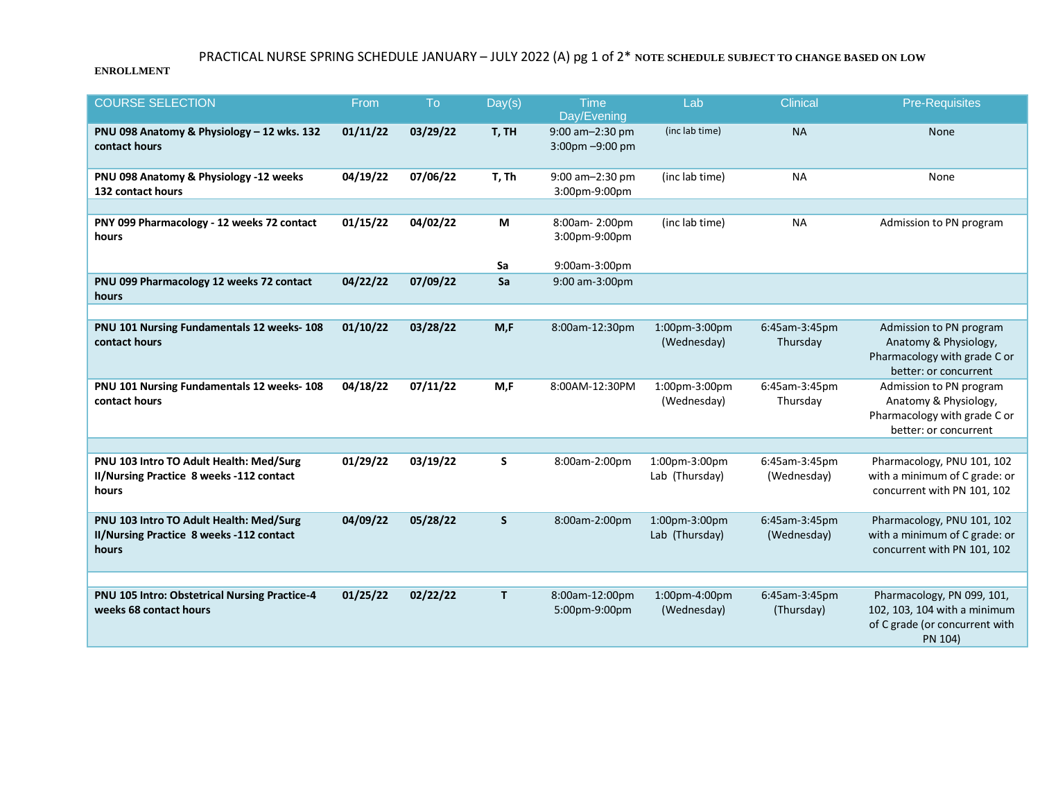## PRACTICAL NURSE SPRING SCHEDULE JANUARY – JULY 2022 (A) pg 1 of 2\* **NOTE SCHEDULE SUBJECT TO CHANGE BASED ON LOW**

## **ENROLLMENT**

| <b>COURSE SELECTION</b>                                                                      | From     | To       | Day(s)       | <b>Time</b><br>Day/Evening                           | Lab                             | <b>Clinical</b>              | <b>Pre-Requisites</b>                                                                                     |
|----------------------------------------------------------------------------------------------|----------|----------|--------------|------------------------------------------------------|---------------------------------|------------------------------|-----------------------------------------------------------------------------------------------------------|
| PNU 098 Anatomy & Physiology - 12 wks. 132<br>contact hours                                  | 01/11/22 | 03/29/22 | T, TH        | 9:00 am-2:30 pm<br>$3:00 \text{pm} - 9:00 \text{pm}$ | (inclab time)                   | <b>NA</b>                    | <b>None</b>                                                                                               |
| PNU 098 Anatomy & Physiology -12 weeks<br>132 contact hours                                  | 04/19/22 | 07/06/22 | T, Th        | 9:00 am-2:30 pm<br>3:00pm-9:00pm                     | (inc lab time)                  | <b>NA</b>                    | None                                                                                                      |
|                                                                                              |          |          |              |                                                      |                                 |                              |                                                                                                           |
| PNY 099 Pharmacology - 12 weeks 72 contact<br>hours                                          | 01/15/22 | 04/02/22 | M            | 8:00am-2:00pm<br>3:00pm-9:00pm                       | (inc lab time)                  | <b>NA</b>                    | Admission to PN program                                                                                   |
|                                                                                              |          |          | Sa           | 9:00am-3:00pm                                        |                                 |                              |                                                                                                           |
| PNU 099 Pharmacology 12 weeks 72 contact<br>hours                                            | 04/22/22 | 07/09/22 | Sa           | 9:00 am-3:00pm                                       |                                 |                              |                                                                                                           |
|                                                                                              |          |          |              |                                                      |                                 |                              |                                                                                                           |
| PNU 101 Nursing Fundamentals 12 weeks- 108<br>contact hours                                  | 01/10/22 | 03/28/22 | M, F         | 8:00am-12:30pm                                       | 1:00pm-3:00pm<br>(Wednesday)    | 6:45am-3:45pm<br>Thursday    | Admission to PN program<br>Anatomy & Physiology,<br>Pharmacology with grade C or<br>better: or concurrent |
| PNU 101 Nursing Fundamentals 12 weeks- 108<br>contact hours                                  | 04/18/22 | 07/11/22 | M,F          | 8:00AM-12:30PM                                       | 1:00pm-3:00pm<br>(Wednesday)    | 6:45am-3:45pm<br>Thursday    | Admission to PN program<br>Anatomy & Physiology,<br>Pharmacology with grade C or<br>better: or concurrent |
|                                                                                              |          |          |              |                                                      |                                 |                              |                                                                                                           |
| PNU 103 Intro TO Adult Health: Med/Surg<br>II/Nursing Practice 8 weeks -112 contact<br>hours | 01/29/22 | 03/19/22 | S            | 8:00am-2:00pm                                        | 1:00pm-3:00pm<br>Lab (Thursday) | 6:45am-3:45pm<br>(Wednesday) | Pharmacology, PNU 101, 102<br>with a minimum of C grade: or<br>concurrent with PN 101, 102                |
| PNU 103 Intro TO Adult Health: Med/Surg<br>II/Nursing Practice 8 weeks -112 contact<br>hours | 04/09/22 | 05/28/22 | <sub>S</sub> | 8:00am-2:00pm                                        | 1:00pm-3:00pm<br>Lab (Thursday) | 6:45am-3:45pm<br>(Wednesday) | Pharmacology, PNU 101, 102<br>with a minimum of C grade: or<br>concurrent with PN 101, 102                |
|                                                                                              |          |          |              |                                                      |                                 |                              |                                                                                                           |
| PNU 105 Intro: Obstetrical Nursing Practice-4<br>weeks 68 contact hours                      | 01/25/22 | 02/22/22 | T.           | 8:00am-12:00pm<br>5:00pm-9:00pm                      | 1:00pm-4:00pm<br>(Wednesday)    | 6:45am-3:45pm<br>(Thursday)  | Pharmacology, PN 099, 101,<br>102, 103, 104 with a minimum<br>of C grade (or concurrent with<br>PN 104)   |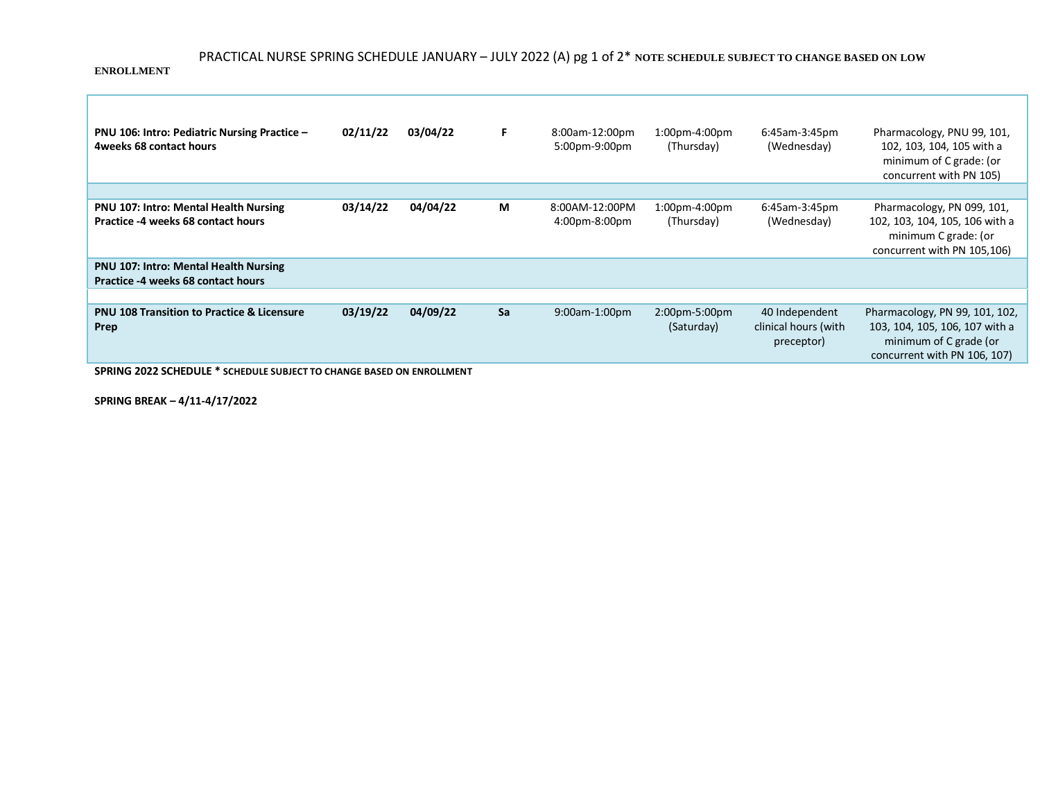## PRACTICAL NURSE SPRING SCHEDULE JANUARY – JULY 2022 (A) pg 1 of 2\* **NOTE SCHEDULE SUBJECT TO CHANGE BASED ON LOW**

**ENROLLMENT**

г

| PNU 106: Intro: Pediatric Nursing Practice -<br>4weeks 68 contact hours            | 02/11/22 | 03/04/22 | F. | 8:00am-12:00pm<br>5:00pm-9:00pm | $1:00$ pm-4:00pm<br>(Thursday) | 6:45am-3:45pm<br>(Wednesday)                         | Pharmacology, PNU 99, 101,<br>102, 103, 104, 105 with a<br>minimum of C grade: (or<br>concurrent with PN 105)              |
|------------------------------------------------------------------------------------|----------|----------|----|---------------------------------|--------------------------------|------------------------------------------------------|----------------------------------------------------------------------------------------------------------------------------|
|                                                                                    |          |          |    |                                 |                                |                                                      |                                                                                                                            |
| <b>PNU 107: Intro: Mental Health Nursing</b><br>Practice -4 weeks 68 contact hours | 03/14/22 | 04/04/22 | М  | 8:00AM-12:00PM<br>4:00pm-8:00pm | 1:00pm-4:00pm<br>(Thursday)    | 6:45am-3:45pm<br>(Wednesday)                         | Pharmacology, PN 099, 101,<br>102, 103, 104, 105, 106 with a<br>minimum C grade: (or<br>concurrent with PN 105,106)        |
| <b>PNU 107: Intro: Mental Health Nursing</b><br>Practice -4 weeks 68 contact hours |          |          |    |                                 |                                |                                                      |                                                                                                                            |
|                                                                                    |          |          |    |                                 |                                |                                                      |                                                                                                                            |
| <b>PNU 108 Transition to Practice &amp; Licensure</b><br>Prep                      | 03/19/22 | 04/09/22 | Sa | 9:00am-1:00pm                   | 2:00pm-5:00pm<br>(Saturday)    | 40 Independent<br>clinical hours (with<br>preceptor) | Pharmacology, PN 99, 101, 102,<br>103, 104, 105, 106, 107 with a<br>minimum of C grade (or<br>concurrent with PN 106, 107) |

**SPRING 2022 SCHEDULE \* SCHEDULE SUBJECT TO CHANGE BASED ON ENROLLMENT**

**SPRING BREAK – 4/11-4/17/2022**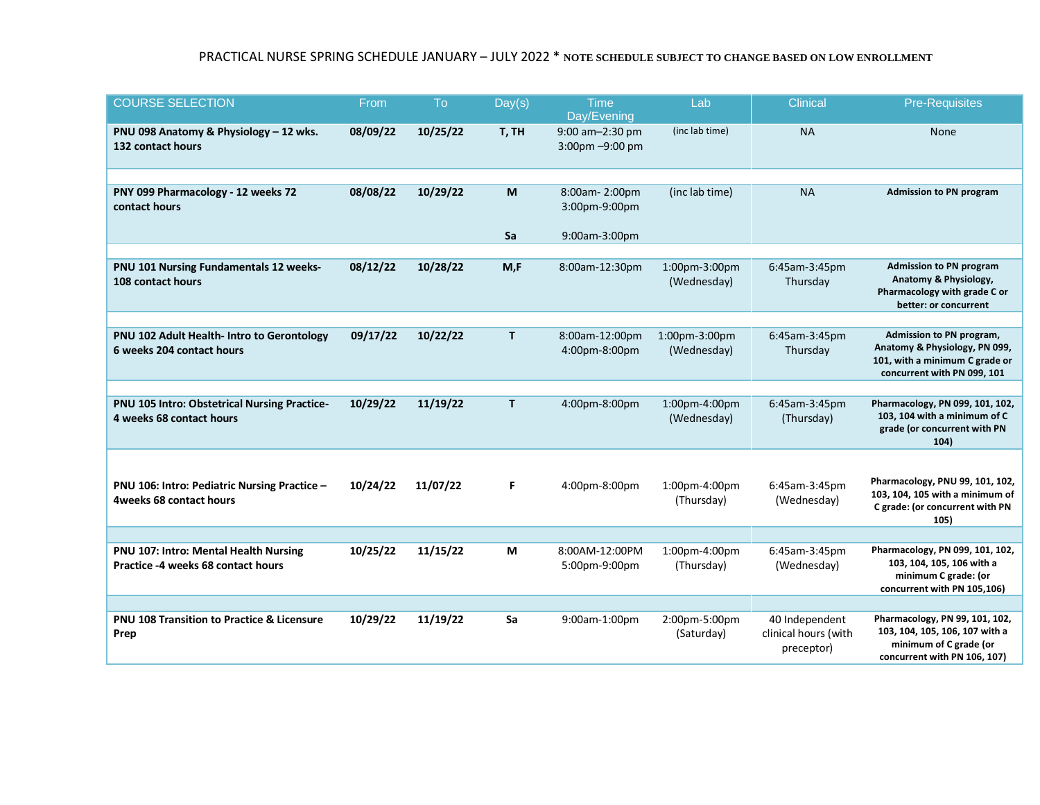## PRACTICAL NURSE SPRING SCHEDULE JANUARY – JULY 2022 \* **NOTE SCHEDULE SUBJECT TO CHANGE BASED ON LOW ENROLLMENT**

| <b>COURSE SELECTION</b>                                                     | From     | To       | Day(s) | <b>Time</b><br>Day/Evening         | Lab                          | <b>Clinical</b>                                      | <b>Pre-Requisites</b>                                                                                                      |
|-----------------------------------------------------------------------------|----------|----------|--------|------------------------------------|------------------------------|------------------------------------------------------|----------------------------------------------------------------------------------------------------------------------------|
| PNU 098 Anatomy & Physiology - 12 wks.<br>132 contact hours                 | 08/09/22 | 10/25/22 | T, TH  | 9:00 am-2:30 pm<br>3:00pm -9:00 pm | (inclab time)                | <b>NA</b>                                            | None                                                                                                                       |
|                                                                             |          |          |        |                                    |                              |                                                      |                                                                                                                            |
| PNY 099 Pharmacology - 12 weeks 72<br>contact hours                         | 08/08/22 | 10/29/22 | M      | 8:00am-2:00pm<br>3:00pm-9:00pm     | (inclab time)                | <b>NA</b>                                            | <b>Admission to PN program</b>                                                                                             |
|                                                                             |          |          | Sa     | 9:00am-3:00pm                      |                              |                                                      |                                                                                                                            |
|                                                                             |          |          |        |                                    |                              |                                                      |                                                                                                                            |
| PNU 101 Nursing Fundamentals 12 weeks-<br>108 contact hours                 | 08/12/22 | 10/28/22 | M.F    | 8:00am-12:30pm                     | 1:00pm-3:00pm<br>(Wednesday) | 6:45am-3:45pm<br>Thursday                            | <b>Admission to PN program</b><br>Anatomy & Physiology,<br>Pharmacology with grade C or<br>better: or concurrent           |
|                                                                             |          |          |        |                                    |                              |                                                      |                                                                                                                            |
| PNU 102 Adult Health- Intro to Gerontology<br>6 weeks 204 contact hours     | 09/17/22 | 10/22/22 | T.     | 8:00am-12:00pm<br>4:00pm-8:00pm    | 1:00pm-3:00pm<br>(Wednesday) | 6:45am-3:45pm<br>Thursday                            | Admission to PN program,<br>Anatomy & Physiology, PN 099,<br>101, with a minimum C grade or<br>concurrent with PN 099, 101 |
|                                                                             |          |          |        |                                    |                              |                                                      |                                                                                                                            |
| PNU 105 Intro: Obstetrical Nursing Practice-<br>4 weeks 68 contact hours    | 10/29/22 | 11/19/22 | T.     | 4:00pm-8:00pm                      | 1:00pm-4:00pm<br>(Wednesday) | 6:45am-3:45pm<br>(Thursday)                          | Pharmacology, PN 099, 101, 102,<br>103, 104 with a minimum of C<br>grade (or concurrent with PN<br>104)                    |
|                                                                             |          |          |        |                                    |                              |                                                      |                                                                                                                            |
| PNU 106: Intro: Pediatric Nursing Practice -<br>4weeks 68 contact hours     | 10/24/22 | 11/07/22 | F.     | 4:00pm-8:00pm                      | 1:00pm-4:00pm<br>(Thursday)  | 6:45am-3:45pm<br>(Wednesday)                         | Pharmacology, PNU 99, 101, 102,<br>103, 104, 105 with a minimum of<br>C grade: (or concurrent with PN<br>105)              |
|                                                                             |          |          |        |                                    |                              |                                                      |                                                                                                                            |
| PNU 107: Intro: Mental Health Nursing<br>Practice -4 weeks 68 contact hours | 10/25/22 | 11/15/22 | M      | 8:00AM-12:00PM<br>5:00pm-9:00pm    | 1:00pm-4:00pm<br>(Thursday)  | 6:45am-3:45pm<br>(Wednesday)                         | Pharmacology, PN 099, 101, 102,<br>103, 104, 105, 106 with a<br>minimum C grade: (or<br>concurrent with PN 105,106)        |
|                                                                             |          |          |        |                                    |                              |                                                      |                                                                                                                            |
| PNU 108 Transition to Practice & Licensure<br>Prep                          | 10/29/22 | 11/19/22 | Sa     | 9:00am-1:00pm                      | 2:00pm-5:00pm<br>(Saturday)  | 40 Independent<br>clinical hours (with<br>preceptor) | Pharmacology, PN 99, 101, 102,<br>103, 104, 105, 106, 107 with a<br>minimum of C grade (or<br>concurrent with PN 106, 107) |